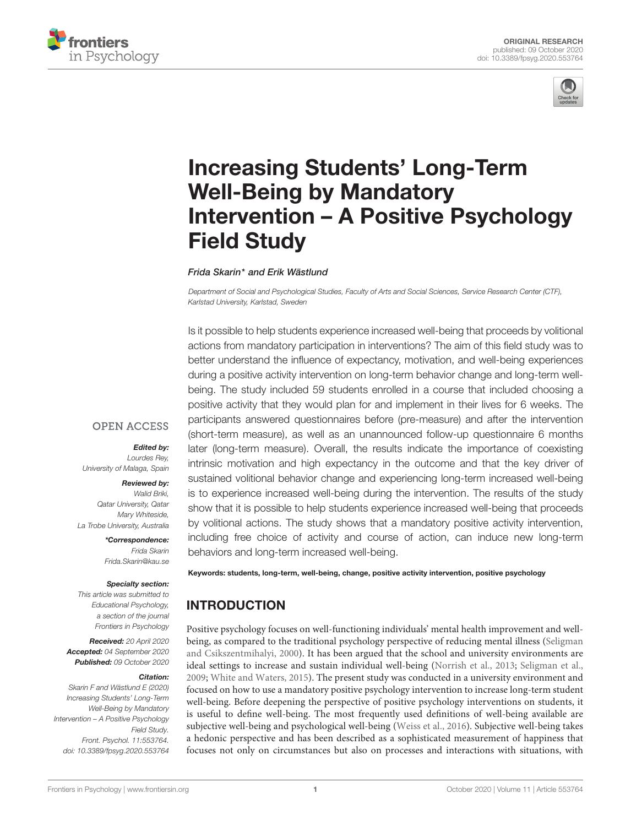



# Increasing Students' Long-Term Well-Being by Mandatory [Intervention – A Positive Psychology](https://www.frontiersin.org/articles/10.3389/fpsyg.2020.553764/full) Field Study

Frida Skarin\* and Erik Wästlund

Department of Social and Psychological Studies, Faculty of Arts and Social Sciences, Service Research Center (CTF), Karlstad University, Karlstad, Sweden

Is it possible to help students experience increased well-being that proceeds by volitional actions from mandatory participation in interventions? The aim of this field study was to better understand the influence of expectancy, motivation, and well-being experiences during a positive activity intervention on long-term behavior change and long-term wellbeing. The study included 59 students enrolled in a course that included choosing a positive activity that they would plan for and implement in their lives for 6 weeks. The participants answered questionnaires before (pre-measure) and after the intervention (short-term measure), as well as an unannounced follow-up questionnaire 6 months later (long-term measure). Overall, the results indicate the importance of coexisting intrinsic motivation and high expectancy in the outcome and that the key driver of sustained volitional behavior change and experiencing long-term increased well-being is to experience increased well-being during the intervention. The results of the study show that it is possible to help students experience increased well-being that proceeds by volitional actions. The study shows that a mandatory positive activity intervention, including free choice of activity and course of action, can induce new long-term behaviors and long-term increased well-being.

## **OPEN ACCESS**

#### Edited by:

Lourdes Rey, University of Malaga, Spain

#### Reviewed by:

Walid Briki, Qatar University, Qatar Mary Whiteside, La Trobe University, Australia

> \*Correspondence: Frida Skarin Frida.Skarin@kau.se

### Specialty section:

This article was submitted to Educational Psychology, a section of the journal Frontiers in Psychology

Received: 20 April 2020 Accepted: 04 September 2020 Published: 09 October 2020

#### Citation:

Skarin F and Wästlund E (2020) Increasing Students' Long-Term Well-Being by Mandatory Intervention – A Positive Psychology Field Study. Front. Psychol. 11:553764. doi: [10.3389/fpsyg.2020.553764](https://doi.org/10.3389/fpsyg.2020.553764)

Keywords: students, long-term, well-being, change, positive activity intervention, positive psychology

# INTRODUCTION

Positive psychology focuses on well-functioning individuals' mental health improvement and wellbeing, as compared to the traditional psychology perspective of reducing mental illness [\(Seligman](#page-7-0) [and Csikszentmihalyi,](#page-7-0) [2000\)](#page-7-0). It has been argued that the school and university environments are ideal settings to increase and sustain individual well-being [\(Norrish et al.,](#page-7-1) [2013;](#page-7-1) [Seligman et al.,](#page-7-2) [2009;](#page-7-2) [White and Waters,](#page-8-0) [2015\)](#page-8-0). The present study was conducted in a university environment and focused on how to use a mandatory positive psychology intervention to increase long-term student well-being. Before deepening the perspective of positive psychology interventions on students, it is useful to define well-being. The most frequently used definitions of well-being available are subjective well-being and psychological well-being [\(Weiss et al.,](#page-8-1) [2016\)](#page-8-1). Subjective well-being takes a hedonic perspective and has been described as a sophisticated measurement of happiness that focuses not only on circumstances but also on processes and interactions with situations, with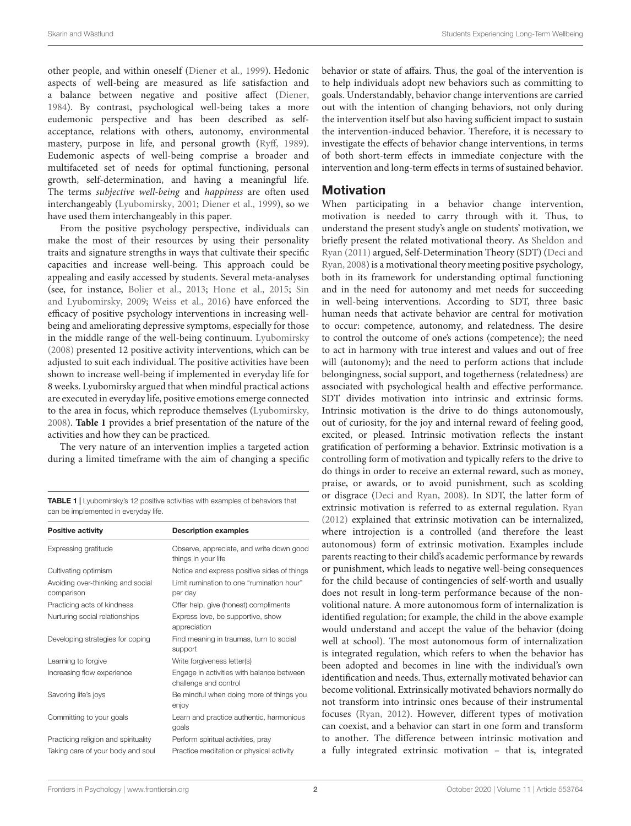other people, and within oneself [\(Diener et al.,](#page-7-3) [1999\)](#page-7-3). Hedonic aspects of well-being are measured as life satisfaction and a balance between negative and positive affect [\(Diener,](#page-7-4) [1984\)](#page-7-4). By contrast, psychological well-being takes a more eudemonic perspective and has been described as selfacceptance, relations with others, autonomy, environmental mastery, purpose in life, and personal growth [\(Ryff,](#page-7-5) [1989\)](#page-7-5). Eudemonic aspects of well-being comprise a broader and multifaceted set of needs for optimal functioning, personal growth, self-determination, and having a meaningful life. The terms subjective well-being and happiness are often used interchangeably [\(Lyubomirsky,](#page-7-6) [2001;](#page-7-6) [Diener et al.,](#page-7-3) [1999\)](#page-7-3), so we have used them interchangeably in this paper.

From the positive psychology perspective, individuals can make the most of their resources by using their personality traits and signature strengths in ways that cultivate their specific capacities and increase well-being. This approach could be appealing and easily accessed by students. Several meta-analyses (see, for instance, [Bolier et al.,](#page-7-7) [2013;](#page-7-7) [Hone et al.,](#page-7-8) [2015;](#page-7-8) [Sin](#page-7-9) [and Lyubomirsky,](#page-7-9) [2009;](#page-7-9) [Weiss et al.,](#page-8-1) [2016\)](#page-8-1) have enforced the efficacy of positive psychology interventions in increasing wellbeing and ameliorating depressive symptoms, especially for those in the middle range of the well-being continuum. [Lyubomirsky](#page-7-10) [\(2008\)](#page-7-10) presented 12 positive activity interventions, which can be adjusted to suit each individual. The positive activities have been shown to increase well-being if implemented in everyday life for 8 weeks. Lyubomirsky argued that when mindful practical actions are executed in everyday life, positive emotions emerge connected to the area in focus, which reproduce themselves [\(Lyubomirsky,](#page-7-10) [2008\)](#page-7-10). **[Table 1](#page-1-0)** provides a brief presentation of the nature of the activities and how they can be practiced.

The very nature of an intervention implies a targeted action during a limited timeframe with the aim of changing a specific

<span id="page-1-0"></span>TABLE 1 | Lyubomirsky's 12 positive activities with examples of behaviors that can be implemented in everyday life.

| <b>Positive activity</b>                        | <b>Description examples</b>                                        |  |  |  |
|-------------------------------------------------|--------------------------------------------------------------------|--|--|--|
| Expressing gratitude                            | Observe, appreciate, and write down good<br>things in your life    |  |  |  |
| Cultivating optimism                            | Notice and express positive sides of things                        |  |  |  |
| Avoiding over-thinking and social<br>comparison | Limit rumination to one "rumination hour"<br>per day               |  |  |  |
| Practicing acts of kindness                     | Offer help, give (honest) compliments                              |  |  |  |
| Nurturing social relationships                  | Express love, be supportive, show<br>appreciation                  |  |  |  |
| Developing strategies for coping                | Find meaning in traumas, turn to social<br>support                 |  |  |  |
| Learning to forgive                             | Write forgiveness letter(s)                                        |  |  |  |
| Increasing flow experience                      | Engage in activities with balance between<br>challenge and control |  |  |  |
| Savoring life's joys                            | Be mindful when doing more of things you<br>enjoy                  |  |  |  |
| Committing to your goals                        | Learn and practice authentic, harmonious<br>goals                  |  |  |  |
| Practicing religion and spirituality            | Perform spiritual activities, pray                                 |  |  |  |
| Taking care of your body and soul               | Practice meditation or physical activity                           |  |  |  |

behavior or state of affairs. Thus, the goal of the intervention is to help individuals adopt new behaviors such as committing to goals. Understandably, behavior change interventions are carried out with the intention of changing behaviors, not only during the intervention itself but also having sufficient impact to sustain the intervention-induced behavior. Therefore, it is necessary to investigate the effects of behavior change interventions, in terms of both short-term effects in immediate conjecture with the intervention and long-term effects in terms of sustained behavior.

## **Motivation**

When participating in a behavior change intervention, motivation is needed to carry through with it. Thus, to understand the present study's angle on students' motivation, we briefly present the related motivational theory. As [Sheldon and](#page-7-11) [Ryan](#page-7-11) [\(2011\)](#page-7-11) argued, Self-Determination Theory (SDT) [\(Deci and](#page-7-12) [Ryan,](#page-7-12) [2008\)](#page-7-12) is a motivational theory meeting positive psychology, both in its framework for understanding optimal functioning and in the need for autonomy and met needs for succeeding in well-being interventions. According to SDT, three basic human needs that activate behavior are central for motivation to occur: competence, autonomy, and relatedness. The desire to control the outcome of one's actions (competence); the need to act in harmony with true interest and values and out of free will (autonomy); and the need to perform actions that include belongingness, social support, and togetherness (relatedness) are associated with psychological health and effective performance. SDT divides motivation into intrinsic and extrinsic forms. Intrinsic motivation is the drive to do things autonomously, out of curiosity, for the joy and internal reward of feeling good, excited, or pleased. Intrinsic motivation reflects the instant gratification of performing a behavior. Extrinsic motivation is a controlling form of motivation and typically refers to the drive to do things in order to receive an external reward, such as money, praise, or awards, or to avoid punishment, such as scolding or disgrace [\(Deci and Ryan,](#page-7-12) [2008\)](#page-7-12). In SDT, the latter form of extrinsic motivation is referred to as external regulation. [Ryan](#page-7-13) [\(2012\)](#page-7-13) explained that extrinsic motivation can be internalized, where introjection is a controlled (and therefore the least autonomous) form of extrinsic motivation. Examples include parents reacting to their child's academic performance by rewards or punishment, which leads to negative well-being consequences for the child because of contingencies of self-worth and usually does not result in long-term performance because of the nonvolitional nature. A more autonomous form of internalization is identified regulation; for example, the child in the above example would understand and accept the value of the behavior (doing well at school). The most autonomous form of internalization is integrated regulation, which refers to when the behavior has been adopted and becomes in line with the individual's own identification and needs. Thus, externally motivated behavior can become volitional. Extrinsically motivated behaviors normally do not transform into intrinsic ones because of their instrumental focuses [\(Ryan,](#page-7-13) [2012\)](#page-7-13). However, different types of motivation can coexist, and a behavior can start in one form and transform to another. The difference between intrinsic motivation and a fully integrated extrinsic motivation – that is, integrated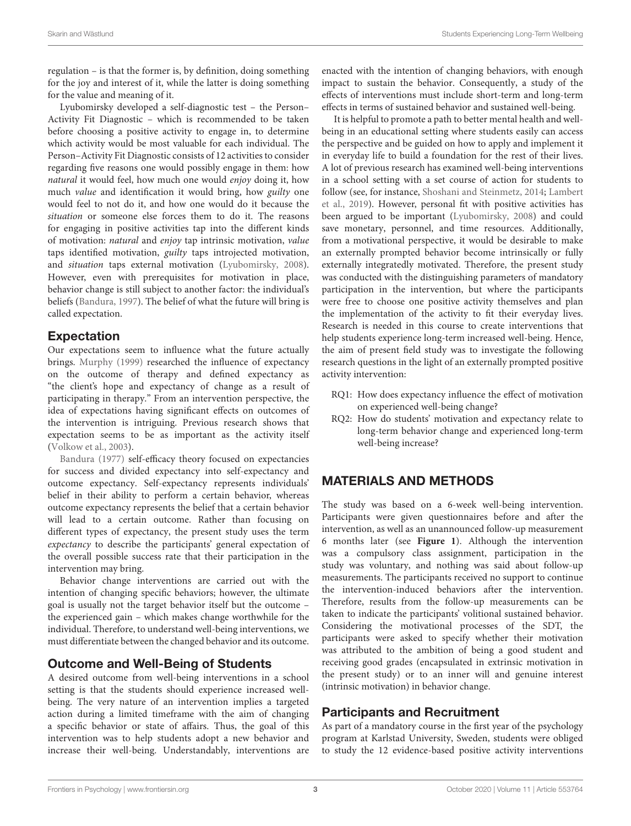regulation – is that the former is, by definition, doing something for the joy and interest of it, while the latter is doing something for the value and meaning of it.

Lyubomirsky developed a self-diagnostic test – the Person– Activity Fit Diagnostic – which is recommended to be taken before choosing a positive activity to engage in, to determine which activity would be most valuable for each individual. The Person–Activity Fit Diagnostic consists of 12 activities to consider regarding five reasons one would possibly engage in them: how natural it would feel, how much one would enjoy doing it, how much value and identification it would bring, how guilty one would feel to not do it, and how one would do it because the situation or someone else forces them to do it. The reasons for engaging in positive activities tap into the different kinds of motivation: natural and enjoy tap intrinsic motivation, value taps identified motivation, guilty taps introjected motivation, and situation taps external motivation [\(Lyubomirsky,](#page-7-10) [2008\)](#page-7-10). However, even with prerequisites for motivation in place, behavior change is still subject to another factor: the individual's beliefs [\(Bandura,](#page-7-14) [1997\)](#page-7-14). The belief of what the future will bring is called expectation.

## Expectation

Our expectations seem to influence what the future actually brings. [Murphy](#page-7-15) [\(1999\)](#page-7-15) researched the influence of expectancy on the outcome of therapy and defined expectancy as "the client's hope and expectancy of change as a result of participating in therapy." From an intervention perspective, the idea of expectations having significant effects on outcomes of the intervention is intriguing. Previous research shows that expectation seems to be as important as the activity itself [\(Volkow et al.,](#page-7-16) [2003\)](#page-7-16).

[Bandura](#page-7-17) [\(1977\)](#page-7-17) self-efficacy theory focused on expectancies for success and divided expectancy into self-expectancy and outcome expectancy. Self-expectancy represents individuals' belief in their ability to perform a certain behavior, whereas outcome expectancy represents the belief that a certain behavior will lead to a certain outcome. Rather than focusing on different types of expectancy, the present study uses the term expectancy to describe the participants' general expectation of the overall possible success rate that their participation in the intervention may bring.

Behavior change interventions are carried out with the intention of changing specific behaviors; however, the ultimate goal is usually not the target behavior itself but the outcome – the experienced gain – which makes change worthwhile for the individual. Therefore, to understand well-being interventions, we must differentiate between the changed behavior and its outcome.

## Outcome and Well-Being of Students

A desired outcome from well-being interventions in a school setting is that the students should experience increased wellbeing. The very nature of an intervention implies a targeted action during a limited timeframe with the aim of changing a specific behavior or state of affairs. Thus, the goal of this intervention was to help students adopt a new behavior and increase their well-being. Understandably, interventions are

enacted with the intention of changing behaviors, with enough impact to sustain the behavior. Consequently, a study of the effects of interventions must include short-term and long-term effects in terms of sustained behavior and sustained well-being.

It is helpful to promote a path to better mental health and wellbeing in an educational setting where students easily can access the perspective and be guided on how to apply and implement it in everyday life to build a foundation for the rest of their lives. A lot of previous research has examined well-being interventions in a school setting with a set course of action for students to follow (see, for instance, [Shoshani and Steinmetz,](#page-7-18) [2014;](#page-7-18) [Lambert](#page-7-19) [et al.,](#page-7-19) [2019\)](#page-7-19). However, personal fit with positive activities has been argued to be important [\(Lyubomirsky,](#page-7-10) [2008\)](#page-7-10) and could save monetary, personnel, and time resources. Additionally, from a motivational perspective, it would be desirable to make an externally prompted behavior become intrinsically or fully externally integratedly motivated. Therefore, the present study was conducted with the distinguishing parameters of mandatory participation in the intervention, but where the participants were free to choose one positive activity themselves and plan the implementation of the activity to fit their everyday lives. Research is needed in this course to create interventions that help students experience long-term increased well-being. Hence, the aim of present field study was to investigate the following research questions in the light of an externally prompted positive activity intervention:

- RQ1: How does expectancy influence the effect of motivation on experienced well-being change?
- RQ2: How do students' motivation and expectancy relate to long-term behavior change and experienced long-term well-being increase?

## MATERIALS AND METHODS

The study was based on a 6-week well-being intervention. Participants were given questionnaires before and after the intervention, as well as an unannounced follow-up measurement 6 months later (see **[Figure 1](#page-3-0)**). Although the intervention was a compulsory class assignment, participation in the study was voluntary, and nothing was said about follow-up measurements. The participants received no support to continue the intervention-induced behaviors after the intervention. Therefore, results from the follow-up measurements can be taken to indicate the participants' volitional sustained behavior. Considering the motivational processes of the SDT, the participants were asked to specify whether their motivation was attributed to the ambition of being a good student and receiving good grades (encapsulated in extrinsic motivation in the present study) or to an inner will and genuine interest (intrinsic motivation) in behavior change.

## Participants and Recruitment

As part of a mandatory course in the first year of the psychology program at Karlstad University, Sweden, students were obliged to study the 12 evidence-based positive activity interventions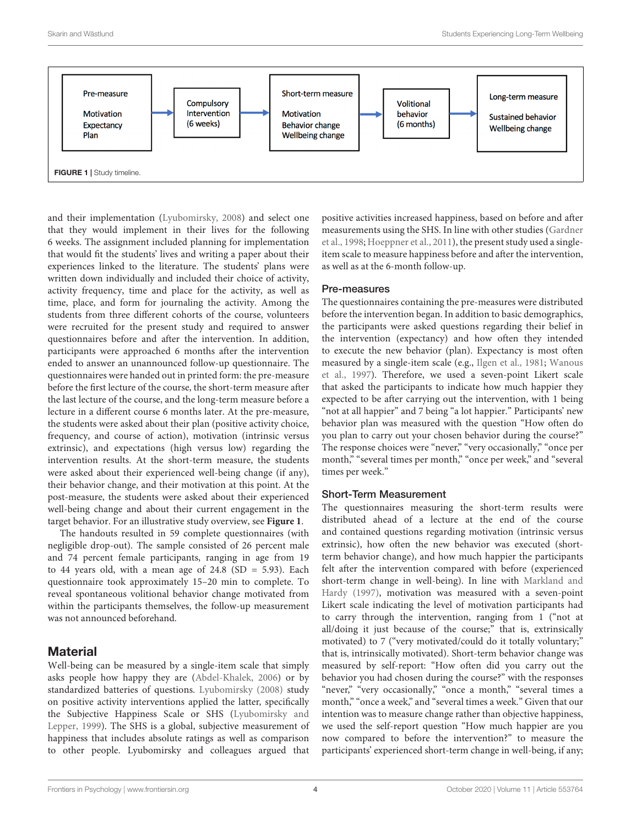

<span id="page-3-0"></span>and their implementation [\(Lyubomirsky,](#page-7-10) [2008\)](#page-7-10) and select one that they would implement in their lives for the following 6 weeks. The assignment included planning for implementation that would fit the students' lives and writing a paper about their experiences linked to the literature. The students' plans were written down individually and included their choice of activity, activity frequency, time and place for the activity, as well as time, place, and form for journaling the activity. Among the students from three different cohorts of the course, volunteers were recruited for the present study and required to answer questionnaires before and after the intervention. In addition, participants were approached 6 months after the intervention ended to answer an unannounced follow-up questionnaire. The questionnaires were handed out in printed form: the pre-measure before the first lecture of the course, the short-term measure after the last lecture of the course, and the long-term measure before a lecture in a different course 6 months later. At the pre-measure, the students were asked about their plan (positive activity choice, frequency, and course of action), motivation (intrinsic versus extrinsic), and expectations (high versus low) regarding the intervention results. At the short-term measure, the students were asked about their experienced well-being change (if any), their behavior change, and their motivation at this point. At the post-measure, the students were asked about their experienced well-being change and about their current engagement in the target behavior. For an illustrative study overview, see **[Figure 1](#page-3-0)**.

The handouts resulted in 59 complete questionnaires (with negligible drop-out). The sample consisted of 26 percent male and 74 percent female participants, ranging in age from 19 to 44 years old, with a mean age of  $24.8$  (SD = 5.93). Each questionnaire took approximately 15–20 min to complete. To reveal spontaneous volitional behavior change motivated from within the participants themselves, the follow-up measurement was not announced beforehand.

## **Material**

Well-being can be measured by a single-item scale that simply asks people how happy they are [\(Abdel-Khalek,](#page-7-20) [2006\)](#page-7-20) or by standardized batteries of questions. [Lyubomirsky](#page-7-10) [\(2008\)](#page-7-10) study on positive activity interventions applied the latter, specifically the Subjective Happiness Scale or SHS [\(Lyubomirsky and](#page-7-21) [Lepper,](#page-7-21) [1999\)](#page-7-21). The SHS is a global, subjective measurement of happiness that includes absolute ratings as well as comparison to other people. Lyubomirsky and colleagues argued that

positive activities increased happiness, based on before and after measurements using the SHS. In line with other studies [\(Gardner](#page-7-22) [et al.,](#page-7-22) [1998;](#page-7-22) [Hoeppner et al.,](#page-7-23) [2011\)](#page-7-23), the present study used a singleitem scale to measure happiness before and after the intervention, as well as at the 6-month follow-up.

#### Pre-measures

The questionnaires containing the pre-measures were distributed before the intervention began. In addition to basic demographics, the participants were asked questions regarding their belief in the intervention (expectancy) and how often they intended to execute the new behavior (plan). Expectancy is most often measured by a single-item scale (e.g., [Ilgen et al.,](#page-7-24) [1981;](#page-7-24) [Wanous](#page-8-2) [et al.,](#page-8-2) [1997\)](#page-8-2). Therefore, we used a seven-point Likert scale that asked the participants to indicate how much happier they expected to be after carrying out the intervention, with 1 being "not at all happier" and 7 being "a lot happier." Participants' new behavior plan was measured with the question "How often do you plan to carry out your chosen behavior during the course?" The response choices were "never," "very occasionally," "once per month," "several times per month," "once per week," and "several times per week."

#### Short-Term Measurement

The questionnaires measuring the short-term results were distributed ahead of a lecture at the end of the course and contained questions regarding motivation (intrinsic versus extrinsic), how often the new behavior was executed (shortterm behavior change), and how much happier the participants felt after the intervention compared with before (experienced short-term change in well-being). In line with [Markland and](#page-7-25) [Hardy](#page-7-25) [\(1997\)](#page-7-25), motivation was measured with a seven-point Likert scale indicating the level of motivation participants had to carry through the intervention, ranging from 1 ("not at all/doing it just because of the course;" that is, extrinsically motivated) to 7 ("very motivated/could do it totally voluntary;" that is, intrinsically motivated). Short-term behavior change was measured by self-report: "How often did you carry out the behavior you had chosen during the course?" with the responses "never," "very occasionally," "once a month," "several times a month," "once a week," and "several times a week." Given that our intention was to measure change rather than objective happiness, we used the self-report question "How much happier are you now compared to before the intervention?" to measure the participants' experienced short-term change in well-being, if any;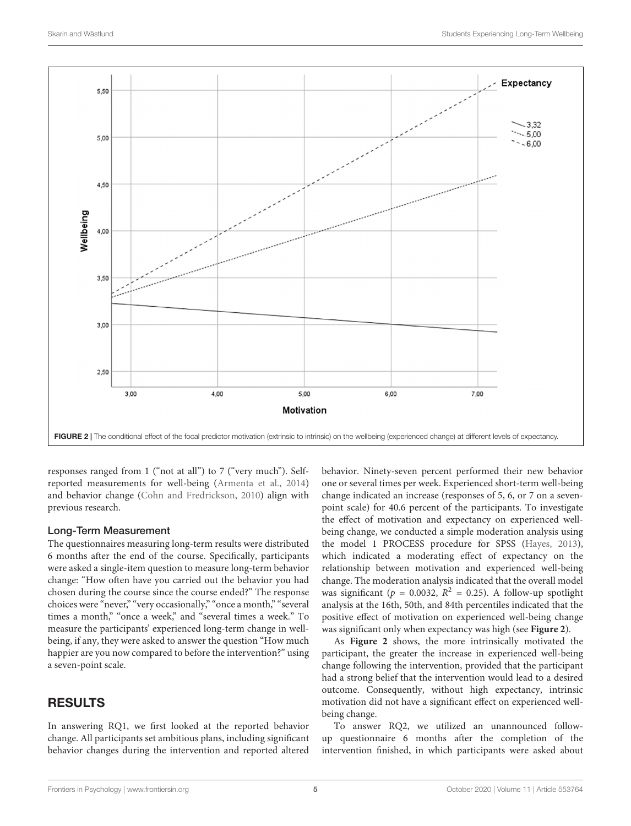

<span id="page-4-0"></span>responses ranged from 1 ("not at all") to 7 ("very much"). Selfreported measurements for well-being [\(Armenta et al.,](#page-7-26) [2014\)](#page-7-26) and behavior change [\(Cohn and Fredrickson,](#page-7-27) [2010\)](#page-7-27) align with previous research.

#### Long-Term Measurement

The questionnaires measuring long-term results were distributed 6 months after the end of the course. Specifically, participants were asked a single-item question to measure long-term behavior change: "How often have you carried out the behavior you had chosen during the course since the course ended?" The response choices were "never," "very occasionally," "once a month," "several times a month," "once a week," and "several times a week." To measure the participants' experienced long-term change in wellbeing, if any, they were asked to answer the question "How much happier are you now compared to before the intervention?" using a seven-point scale.

## RESULTS

In answering RQ1, we first looked at the reported behavior change. All participants set ambitious plans, including significant behavior changes during the intervention and reported altered

behavior. Ninety-seven percent performed their new behavior one or several times per week. Experienced short-term well-being change indicated an increase (responses of 5, 6, or 7 on a sevenpoint scale) for 40.6 percent of the participants. To investigate the effect of motivation and expectancy on experienced wellbeing change, we conducted a simple moderation analysis using the model 1 PROCESS procedure for SPSS [\(Hayes,](#page-7-28) [2013\)](#page-7-28), which indicated a moderating effect of expectancy on the relationship between motivation and experienced well-being change. The moderation analysis indicated that the overall model was significant ( $p = 0.0032$ ,  $R^2 = 0.25$ ). A follow-up spotlight analysis at the 16th, 50th, and 84th percentiles indicated that the positive effect of motivation on experienced well-being change was significant only when expectancy was high (see **[Figure 2](#page-4-0)**).

As **[Figure 2](#page-4-0)** shows, the more intrinsically motivated the participant, the greater the increase in experienced well-being change following the intervention, provided that the participant had a strong belief that the intervention would lead to a desired outcome. Consequently, without high expectancy, intrinsic motivation did not have a significant effect on experienced wellbeing change.

To answer RQ2, we utilized an unannounced followup questionnaire 6 months after the completion of the intervention finished, in which participants were asked about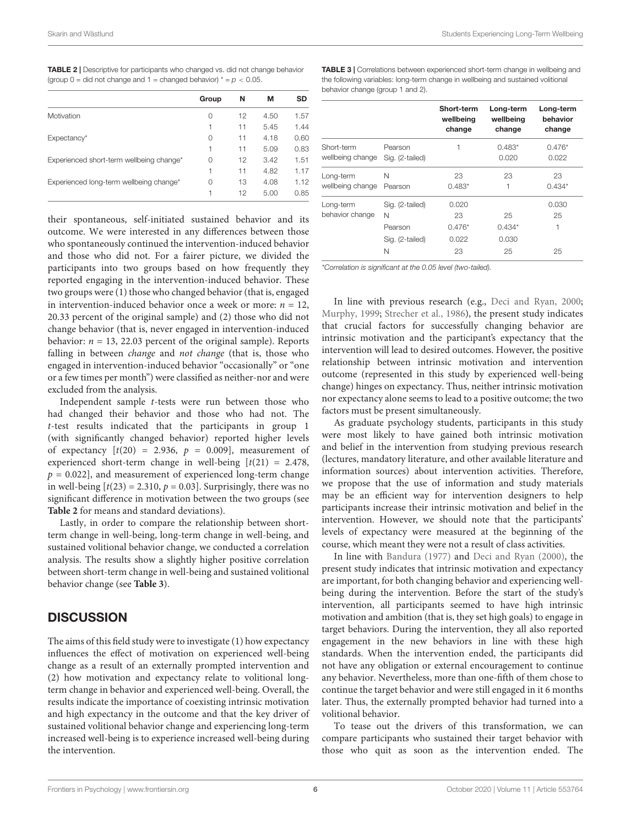<span id="page-5-0"></span>TABLE 2 | Descriptive for participants who changed vs. did not change behavior (group  $0 =$  did not change and  $1 =$  changed behavior)  $* = p < 0.05$ .

|                                          | Group | N  | М    | <b>SD</b> |
|------------------------------------------|-------|----|------|-----------|
| Motivation                               | 0     | 12 | 4.50 | 1.57      |
|                                          | 1     | 11 | 5.45 | 1.44      |
| Expectancy*                              | 0     | 11 | 4.18 | 0.60      |
|                                          | 1     | 11 | 5.09 | 0.83      |
| Experienced short-term wellbeing change* | 0     | 12 | 3.42 | 1.51      |
|                                          | 1     | 11 | 4.82 | 1.17      |
| Experienced long-term wellbeing change*  | 0     | 13 | 4.08 | 1.12      |
|                                          | 1     | 12 | 5.00 | 0.85      |

their spontaneous, self-initiated sustained behavior and its outcome. We were interested in any differences between those who spontaneously continued the intervention-induced behavior and those who did not. For a fairer picture, we divided the participants into two groups based on how frequently they reported engaging in the intervention-induced behavior. These two groups were (1) those who changed behavior (that is, engaged in intervention-induced behavior once a week or more:  $n = 12$ , 20.33 percent of the original sample) and (2) those who did not change behavior (that is, never engaged in intervention-induced behavior:  $n = 13$ , 22.03 percent of the original sample). Reports falling in between change and not change (that is, those who engaged in intervention-induced behavior "occasionally" or "one or a few times per month") were classified as neither-nor and were excluded from the analysis.

Independent sample t-tests were run between those who had changed their behavior and those who had not. The t-test results indicated that the participants in group 1 (with significantly changed behavior) reported higher levels of expectancy  $[t(20) = 2.936, p = 0.009]$ , measurement of experienced short-term change in well-being  $[t(21) = 2.478,$  $p = 0.022$ ], and measurement of experienced long-term change in well-being  $[t(23) = 2.310, p = 0.03]$ . Surprisingly, there was no significant difference in motivation between the two groups (see **[Table 2](#page-5-0)** for means and standard deviations).

Lastly, in order to compare the relationship between shortterm change in well-being, long-term change in well-being, and sustained volitional behavior change, we conducted a correlation analysis. The results show a slightly higher positive correlation between short-term change in well-being and sustained volitional behavior change (see **[Table 3](#page-5-1)**).

## **DISCUSSION**

The aims of this field study were to investigate (1) how expectancy influences the effect of motivation on experienced well-being change as a result of an externally prompted intervention and (2) how motivation and expectancy relate to volitional longterm change in behavior and experienced well-being. Overall, the results indicate the importance of coexisting intrinsic motivation and high expectancy in the outcome and that the key driver of sustained volitional behavior change and experiencing long-term increased well-being is to experience increased well-being during the intervention.

<span id="page-5-1"></span>TABLE 3 | Correlations between experienced short-term change in wellbeing and the following variables: long-term change in wellbeing and sustained volitional behavior change (group 1 and 2).

|                                |                 | <b>Short-term</b><br>wellbeing<br>change | Long-term<br>wellbeing<br>change | Long-term<br>behavior<br>change |
|--------------------------------|-----------------|------------------------------------------|----------------------------------|---------------------------------|
| Short-term<br>wellbeing change | Pearson         |                                          | $0.483*$                         | $0.476*$                        |
|                                | Sig. (2-tailed) |                                          | 0.020                            | 0.022                           |
| Long-term<br>wellbeing change  | N               | 23                                       | 23                               | 23                              |
|                                | Pearson         | $0.483*$                                 |                                  | $0.434*$                        |
| Long-term<br>behavior change   | Sig. (2-tailed) | 0.020                                    |                                  | 0.030                           |
|                                | N               | 23                                       | 25                               | 25                              |
|                                | Pearson         | $0.476*$                                 | $0.434*$                         | 1                               |
|                                | Sig. (2-tailed) | 0.022                                    | 0.030                            |                                 |
|                                | N               | 23                                       | 25                               | 25                              |

\*Correlation is significant at the 0.05 level (two-tailed).

In line with previous research (e.g., [Deci and Ryan,](#page-7-29) [2000;](#page-7-29) [Murphy,](#page-7-15) [1999;](#page-7-15) [Strecher et al.,](#page-7-30) [1986\)](#page-7-30), the present study indicates that crucial factors for successfully changing behavior are intrinsic motivation and the participant's expectancy that the intervention will lead to desired outcomes. However, the positive relationship between intrinsic motivation and intervention outcome (represented in this study by experienced well-being change) hinges on expectancy. Thus, neither intrinsic motivation nor expectancy alone seems to lead to a positive outcome; the two factors must be present simultaneously.

As graduate psychology students, participants in this study were most likely to have gained both intrinsic motivation and belief in the intervention from studying previous research (lectures, mandatory literature, and other available literature and information sources) about intervention activities. Therefore, we propose that the use of information and study materials may be an efficient way for intervention designers to help participants increase their intrinsic motivation and belief in the intervention. However, we should note that the participants' levels of expectancy were measured at the beginning of the course, which meant they were not a result of class activities.

In line with [Bandura](#page-7-17) [\(1977\)](#page-7-17) and [Deci and Ryan](#page-7-29) [\(2000\)](#page-7-29), the present study indicates that intrinsic motivation and expectancy are important, for both changing behavior and experiencing wellbeing during the intervention. Before the start of the study's intervention, all participants seemed to have high intrinsic motivation and ambition (that is, they set high goals) to engage in target behaviors. During the intervention, they all also reported engagement in the new behaviors in line with these high standards. When the intervention ended, the participants did not have any obligation or external encouragement to continue any behavior. Nevertheless, more than one-fifth of them chose to continue the target behavior and were still engaged in it 6 months later. Thus, the externally prompted behavior had turned into a volitional behavior.

To tease out the drivers of this transformation, we can compare participants who sustained their target behavior with those who quit as soon as the intervention ended. The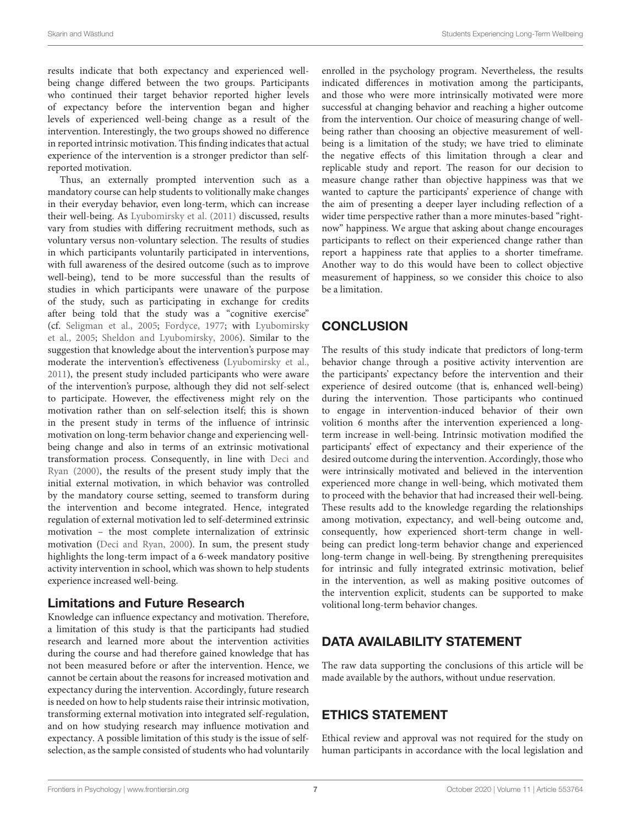results indicate that both expectancy and experienced wellbeing change differed between the two groups. Participants who continued their target behavior reported higher levels of expectancy before the intervention began and higher levels of experienced well-being change as a result of the intervention. Interestingly, the two groups showed no difference in reported intrinsic motivation. This finding indicates that actual experience of the intervention is a stronger predictor than selfreported motivation.

Thus, an externally prompted intervention such as a mandatory course can help students to volitionally make changes in their everyday behavior, even long-term, which can increase their well-being. As [Lyubomirsky et al.](#page-7-31) [\(2011\)](#page-7-31) discussed, results vary from studies with differing recruitment methods, such as voluntary versus non-voluntary selection. The results of studies in which participants voluntarily participated in interventions, with full awareness of the desired outcome (such as to improve well-being), tend to be more successful than the results of studies in which participants were unaware of the purpose of the study, such as participating in exchange for credits after being told that the study was a "cognitive exercise" (cf. [Seligman et al.,](#page-7-32) [2005;](#page-7-32) [Fordyce,](#page-7-33) [1977;](#page-7-33) with [Lyubomirsky](#page-7-34) [et al.,](#page-7-34) [2005;](#page-7-34) [Sheldon and Lyubomirsky,](#page-7-35) [2006\)](#page-7-35). Similar to the suggestion that knowledge about the intervention's purpose may moderate the intervention's effectiveness [\(Lyubomirsky et al.,](#page-7-31) [2011\)](#page-7-31), the present study included participants who were aware of the intervention's purpose, although they did not self-select to participate. However, the effectiveness might rely on the motivation rather than on self-selection itself; this is shown in the present study in terms of the influence of intrinsic motivation on long-term behavior change and experiencing wellbeing change and also in terms of an extrinsic motivational transformation process. Consequently, in line with [Deci and](#page-7-29) [Ryan](#page-7-29) [\(2000\)](#page-7-29), the results of the present study imply that the initial external motivation, in which behavior was controlled by the mandatory course setting, seemed to transform during the intervention and become integrated. Hence, integrated regulation of external motivation led to self-determined extrinsic motivation – the most complete internalization of extrinsic motivation [\(Deci and Ryan,](#page-7-29) [2000\)](#page-7-29). In sum, the present study highlights the long-term impact of a 6-week mandatory positive activity intervention in school, which was shown to help students experience increased well-being.

## Limitations and Future Research

Knowledge can influence expectancy and motivation. Therefore, a limitation of this study is that the participants had studied research and learned more about the intervention activities during the course and had therefore gained knowledge that has not been measured before or after the intervention. Hence, we cannot be certain about the reasons for increased motivation and expectancy during the intervention. Accordingly, future research is needed on how to help students raise their intrinsic motivation, transforming external motivation into integrated self-regulation, and on how studying research may influence motivation and expectancy. A possible limitation of this study is the issue of selfselection, as the sample consisted of students who had voluntarily

enrolled in the psychology program. Nevertheless, the results indicated differences in motivation among the participants, and those who were more intrinsically motivated were more successful at changing behavior and reaching a higher outcome from the intervention. Our choice of measuring change of wellbeing rather than choosing an objective measurement of wellbeing is a limitation of the study; we have tried to eliminate the negative effects of this limitation through a clear and replicable study and report. The reason for our decision to measure change rather than objective happiness was that we wanted to capture the participants' experience of change with the aim of presenting a deeper layer including reflection of a wider time perspective rather than a more minutes-based "rightnow" happiness. We argue that asking about change encourages participants to reflect on their experienced change rather than report a happiness rate that applies to a shorter timeframe. Another way to do this would have been to collect objective measurement of happiness, so we consider this choice to also be a limitation.

## **CONCLUSION**

The results of this study indicate that predictors of long-term behavior change through a positive activity intervention are the participants' expectancy before the intervention and their experience of desired outcome (that is, enhanced well-being) during the intervention. Those participants who continued to engage in intervention-induced behavior of their own volition 6 months after the intervention experienced a longterm increase in well-being. Intrinsic motivation modified the participants' effect of expectancy and their experience of the desired outcome during the intervention. Accordingly, those who were intrinsically motivated and believed in the intervention experienced more change in well-being, which motivated them to proceed with the behavior that had increased their well-being. These results add to the knowledge regarding the relationships among motivation, expectancy, and well-being outcome and, consequently, how experienced short-term change in wellbeing can predict long-term behavior change and experienced long-term change in well-being. By strengthening prerequisites for intrinsic and fully integrated extrinsic motivation, belief in the intervention, as well as making positive outcomes of the intervention explicit, students can be supported to make volitional long-term behavior changes.

## DATA AVAILABILITY STATEMENT

The raw data supporting the conclusions of this article will be made available by the authors, without undue reservation.

## ETHICS STATEMENT

Ethical review and approval was not required for the study on human participants in accordance with the local legislation and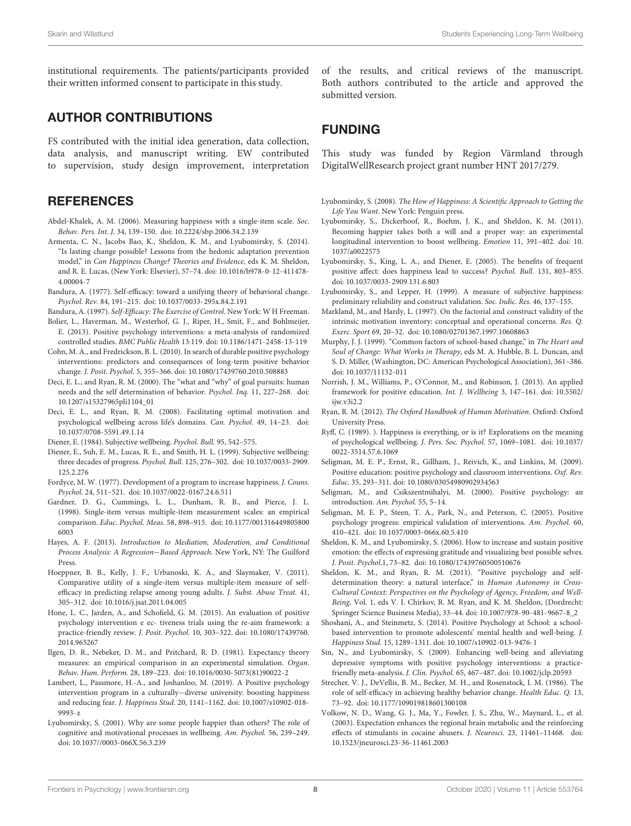institutional requirements. The patients/participants provided their written informed consent to participate in this study.

## AUTHOR CONTRIBUTIONS

FS contributed with the initial idea generation, data collection, data analysis, and manuscript writing. EW contributed to supervision, study design improvement, interpretation

#### **REFERENCES**

- <span id="page-7-20"></span>Abdel-Khalek, A. M. (2006). Measuring happiness with a single-item scale. Soc. Behav. Pers. Int. J. 34, 139–150. [doi: 10.2224/sbp.2006.34.2.139](https://doi.org/10.2224/sbp.2006.34.2.139)
- <span id="page-7-26"></span>Armenta, C. N., Jacobs Bao, K., Sheldon, K. M., and Lyubomirsky, S. (2014). "Is lasting change possible? Lessons from the hedonic adaptation prevention model," in Can Happiness Change? Theories and Evidence, eds K. M. Sheldon, and R. E. Lucas, (New York: Elsevier), 57–74. [doi: 10.1016/b978-0-12-411478-](https://doi.org/10.1016/b978-0-12-411478-4.00004-7) [4.00004-7](https://doi.org/10.1016/b978-0-12-411478-4.00004-7)
- <span id="page-7-17"></span>Bandura, A. (1977). Self-efficacy: toward a unifying theory of behavioral change. Psychol. Rev. 84, 191–215. [doi: 10.1037/0033-295x.84.2.191](https://doi.org/10.1037/0033-295x.84.2.191)
- <span id="page-7-14"></span>Bandura, A. (1997). Self-Efficacy: The Exercise of Control. New York: W H Freeman.
- <span id="page-7-7"></span>Bolier, L., Haverman, M., Westerhof, G. J., Riper, H., Smit, F., and Bohlmeijer, E. (2013). Positive psychology interventions: a meta-analysis of randomized controlled studies. BMC Public Health 13:119. [doi: 10.1186/1471-2458-13-119](https://doi.org/10.1186/1471-2458-13-119)
- <span id="page-7-27"></span>Cohn, M. A., and Fredrickson, B. L. (2010). In search of durable positive psychology interventions: predictors and consequences of long-term positive behavior change. J. Posit. Psychol. 5, 355–366. [doi: 10.1080/17439760.2010.508883](https://doi.org/10.1080/17439760.2010.508883)
- <span id="page-7-29"></span>Deci, E. L., and Ryan, R. M. (2000). The "what and "why" of goal pursuits: human needs and the self determination of behavior. Psychol. Inq. 11, 227–268. [doi:](https://doi.org/10.1207/s15327965pli1104_01) [10.1207/s15327965pli1104\\_01](https://doi.org/10.1207/s15327965pli1104_01)
- <span id="page-7-12"></span>Deci, E. L., and Ryan, R. M. (2008). Facilitating optimal motivation and psychological wellbeing across life's domains. Can. Psychol. 49, 14–23. [doi:](https://doi.org/10.1037/0708-5591.49.1.14) [10.1037/0708-5591.49.1.14](https://doi.org/10.1037/0708-5591.49.1.14)

<span id="page-7-4"></span>Diener, E. (1984). Subjective wellbeing. Psychol. Bull. 95, 542–575.

- <span id="page-7-3"></span>Diener, E., Suh, E. M., Lucas, R. E., and Smith, H. L. (1999). Subjective wellbeing: three decades of progress. Psychol. Bull. 125, 276–302. [doi: 10.1037/0033-2909.](https://doi.org/10.1037/0033-2909.125.2.276) [125.2.276](https://doi.org/10.1037/0033-2909.125.2.276)
- <span id="page-7-33"></span>Fordyce, M. W. (1977). Development of a program to increase happiness. J. Couns. Psychol. 24, 511–521. [doi: 10.1037/0022-0167.24.6.511](https://doi.org/10.1037/0022-0167.24.6.511)
- <span id="page-7-22"></span>Gardner, D. G., Cummings, L. L., Dunham, R. B., and Pierce, J. L. (1998). Single-item versus multiple-item measurement scales: an empirical comparison. Educ. Psychol. Meas. 58, 898–915. [doi: 10.1177/001316449805800](https://doi.org/10.1177/0013164498058006003) [6003](https://doi.org/10.1177/0013164498058006003)
- <span id="page-7-28"></span>Hayes, A. F. (2013). Introduction to Mediation, Moderation, and Conditional Process Analysis: A Regression−Based Approach. New York, NY: The Guilford Press.
- <span id="page-7-23"></span>Hoeppner, B. B., Kelly, J. F., Urbanoski, K. A., and Slaymaker, V. (2011). Comparative utility of a single-item versus multiple-item measure of selfefficacy in predicting relapse among young adults. J. Subst. Abuse Treat. 41, 305–312. [doi: 10.1016/j.jsat.2011.04.005](https://doi.org/10.1016/j.jsat.2011.04.005)
- <span id="page-7-8"></span>Hone, L. C., Jarden, A., and Schofield, G. M. (2015). An evaluation of positive psychology intervention e ec- tiveness trials using the re-aim framework: a practice-friendly review. J. Posit. Psychol. 10, 303–322. [doi: 10.1080/17439760.](https://doi.org/10.1080/17439760.2014.965267) [2014.965267](https://doi.org/10.1080/17439760.2014.965267)
- <span id="page-7-24"></span>Ilgen, D. R., Nebeker, D. M., and Pritchard, R. D. (1981). Expectancy theory measures: an empirical comparison in an experimental simulation. Organ. Behav. Hum. Perform. 28, 189–223. [doi: 10.1016/0030-5073\(81\)90022-2](https://doi.org/10.1016/0030-5073(81)90022-2)
- <span id="page-7-19"></span>Lambert, L., Passmore, H.-A., and Joshanloo, M. (2019). A Positive psychology intervention program in a culturally−diverse university: boosting happiness and reducing fear. J. Happiness Stud. 20, 1141–1162. [doi: 10.1007/s10902-018-](https://doi.org/10.1007/s10902-018-9993-z) [9993-z](https://doi.org/10.1007/s10902-018-9993-z)
- <span id="page-7-6"></span>Lyubomirsky, S. (2001). Why are some people happier than others? The role of cognitive and motivational processes in wellbeing. Am. Psychol. 56, 239–249. [doi: 10.1037//0003-066X.56.3.239](https://doi.org/10.1037//0003-066X.56.3.239)

of the results, and critical reviews of the manuscript. Both authors contributed to the article and approved the submitted version.

## FUNDING

This study was funded by Region Värmland through DigitalWellResearch project grant number HNT 2017/279.

- <span id="page-7-10"></span>Lyubomirsky, S. (2008). The How of Happiness: A Scientific Approach to Getting the Life You Want. New York: Penguin press.
- <span id="page-7-31"></span>Lyubomirsky, S., Dickerhoof, R., Boehm, J. K., and Sheldon, K. M. (2011). Becoming happier takes both a will and a proper way: an experimental longitudinal intervention to boost wellbeing. Emotion 11, 391–402. [doi: 10.](https://doi.org/10.1037/a0022575) [1037/a0022575](https://doi.org/10.1037/a0022575)
- <span id="page-7-34"></span>Lyubomirsky, S., King, L. A., and Diener, E. (2005). The benefits of frequent positive affect: does happiness lead to success? Psychol. Bull. 131, 803–855. [doi: 10.1037/0033-2909.131.6.803](https://doi.org/10.1037/0033-2909.131.6.803)
- <span id="page-7-21"></span>Lyubomirsky, S., and Lepper, H. (1999). A measure of subjective happiness: preliminary reliability and construct validation. Soc. Indic. Res. 46, 137–155.
- <span id="page-7-25"></span>Markland, M., and Hardy, L. (1997). On the factorial and construct validity of the intrinsic motivation inventory: conceptual and operational concerns. Res. Q. Exerc. Sport 69, 20–32. [doi: 10.1080/02701367.1997.10608863](https://doi.org/10.1080/02701367.1997.10608863)
- <span id="page-7-15"></span>Murphy, J. J. (1999). "Common factors of school-based change," in The Heart and Soul of Change: What Works in Therapy, eds M. A. Hubble, B. L. Duncan, and S. D. Miller, (Washington, DC: American Psychological Association), 361–386. [doi: 10.1037/11132-011](https://doi.org/10.1037/11132-011)
- <span id="page-7-1"></span>Norrish, J. M., Williams, P., O'Connor, M., and Robinson, J. (2013). An applied framework for positive education. Int. J. Wellbeing 3, 147–161. [doi: 10.5502/](https://doi.org/10.5502/ijw.v3i2.2) [ijw.v3i2.2](https://doi.org/10.5502/ijw.v3i2.2)
- <span id="page-7-13"></span>Ryan, R. M. (2012). The Oxford Handbook of Human Motivation. Oxford: Oxford University Press.
- <span id="page-7-5"></span>Ryff, C. (1989). ). Happiness is everything, or is it? Explorations on the meaning of psychological wellbeing. J. Pers. Soc. Psychol. 57, 1069–1081. [doi: 10.1037/](https://doi.org/10.1037/0022-3514.57.6.1069) [0022-3514.57.6.1069](https://doi.org/10.1037/0022-3514.57.6.1069)
- <span id="page-7-2"></span>Seligman, M. E. P., Ernst, R., Gillham, J., Reivich, K., and Linkins, M. (2009). Positive education: positive psychology and classroom interventions. Oxf. Rev. Educ. 35, 293–311. [doi: 10.1080/03054980902934563](https://doi.org/10.1080/03054980902934563)
- <span id="page-7-0"></span>Seligman, M., and Csikszentmihalyi, M. (2000). Positive psychology: an introduction. Am. Psychol. 55, 5–14.
- <span id="page-7-32"></span>Seligman, M. E. P., Steen, T. A., Park, N., and Peterson, C. (2005). Positive psychology progress: empirical validation of interventions. Am. Psychol. 60, 410–421. [doi: 10.1037/0003-066x.60.5.410](https://doi.org/10.1037/0003-066x.60.5.410)
- <span id="page-7-35"></span>Sheldon, K. M., and Lyubomirsky, S. (2006). How to increase and sustain positive emotion: the effects of expressing gratitude and visualizing best possible selves. J. Posit. Psychol.1, 73–82. [doi: 10.1080/17439760500510676](https://doi.org/10.1080/17439760500510676)
- <span id="page-7-11"></span>Sheldon, K. M., and Ryan, R. M. (2011). "Positive psychology and selfdetermination theory: a natural interface," in Human Autonomy in Cross-Cultural Context: Perspectives on the Psychology of Agency, Freedom, and Well-Being, Vol. 1, eds V. I. Chirkov, R. M. Ryan, and K. M. Sheldon, (Dordrecht: Springer Science Business Media), 33–44. [doi: 10.1007/978-90-481-9667-8\\_2](https://doi.org/10.1007/978-90-481-9667-8_2)
- <span id="page-7-18"></span>Shoshani, A., and Steinmetz, S. (2014). Positive Psychology at School: a schoolbased intervention to promote adolescents' mental health and well-being. J. Happiness Stud. 15, 1289–1311. [doi: 10.1007/s10902-013-9476-1](https://doi.org/10.1007/s10902-013-9476-1)
- <span id="page-7-9"></span>Sin, N., and Lyubomirsky, S. (2009). Enhancing well-being and alleviating depressive symptoms with positive psychology interventions: a practicefriendly meta-analysis. J. Clin. Psychol. 65, 467–487. [doi: 10.1002/jclp.20593](https://doi.org/10.1002/jclp.20593)
- <span id="page-7-30"></span>Strecher, V. J., DeVellis, B. M., Becker, M. H., and Rosenstock, I. M. (1986). The role of self-efficacy in achieving healthy behavior change. Health Educ. Q. 13, 73–92. [doi: 10.1177/109019818601300108](https://doi.org/10.1177/109019818601300108)
- <span id="page-7-16"></span>Volkow, N. D., Wang, G. J., Ma, Y., Fowler, J. S., Zhu, W., Maynard, L., et al. (2003). Expectation enhances the regional brain metabolic and the reinforcing effects of stimulants in cocaine abusers. J. Neurosci. 23, 11461–11468. [doi:](https://doi.org/10.1523/jneurosci.23-36-11461.2003) [10.1523/jneurosci.23-36-11461.2003](https://doi.org/10.1523/jneurosci.23-36-11461.2003)